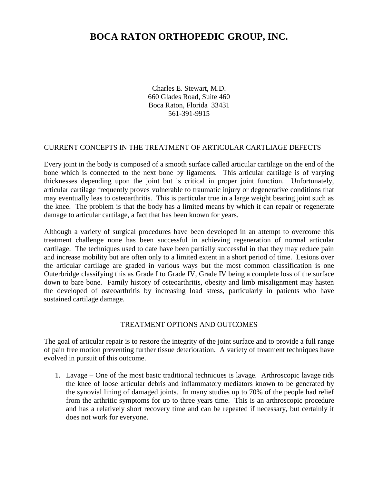# **BOCA RATON ORTHOPEDIC GROUP, INC.**

Charles E. Stewart, M.D. 660 Glades Road, Suite 460 Boca Raton, Florida 33431 561-391-9915

## CURRENT CONCEPTS IN THE TREATMENT OF ARTICULAR CARTLIAGE DEFECTS

Every joint in the body is composed of a smooth surface called articular cartilage on the end of the bone which is connected to the next bone by ligaments. This articular cartilage is of varying thicknesses depending upon the joint but is critical in proper joint function. Unfortunately, articular cartilage frequently proves vulnerable to traumatic injury or degenerative conditions that may eventually leas to osteoarthritis. This is particular true in a large weight bearing joint such as the knee. The problem is that the body has a limited means by which it can repair or regenerate damage to articular cartilage, a fact that has been known for years.

Although a variety of surgical procedures have been developed in an attempt to overcome this treatment challenge none has been successful in achieving regeneration of normal articular cartilage. The techniques used to date have been partially successful in that they may reduce pain and increase mobility but are often only to a limited extent in a short period of time. Lesions over the articular cartilage are graded in various ways but the most common classification is one Outerbridge classifying this as Grade I to Grade IV, Grade IV being a complete loss of the surface down to bare bone. Family history of osteoarthritis, obesity and limb misalignment may hasten the developed of osteoarthritis by increasing load stress, particularly in patients who have sustained cartilage damage.

#### TREATMENT OPTIONS AND OUTCOMES

The goal of articular repair is to restore the integrity of the joint surface and to provide a full range of pain free motion preventing further tissue deterioration. A variety of treatment techniques have evolved in pursuit of this outcome.

1. Lavage – One of the most basic traditional techniques is lavage. Arthroscopic lavage rids the knee of loose articular debris and inflammatory mediators known to be generated by the synovial lining of damaged joints. In many studies up to 70% of the people had relief from the arthritic symptoms for up to three years time. This is an arthroscopic procedure and has a relatively short recovery time and can be repeated if necessary, but certainly it does not work for everyone.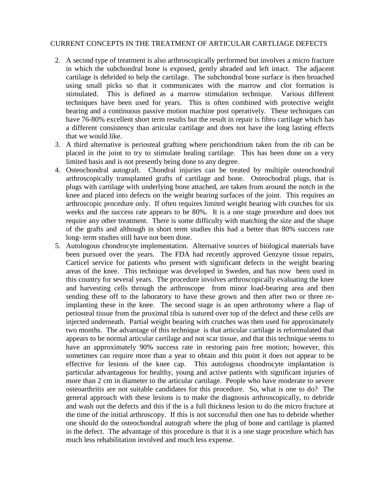## CURRENT CONCEPTS IN THE TREATMENT OF ARTICULAR CARTLIAGE DEFECTS

- 2. A second type of treatment is also arthroscopically performed but involves a micro fracture in which the subchondral bone is exposed, gently abraded and left intact. The adjacent cartilage is debrided to help the cartilage. The subchondral bone surface is then broached using small picks so that it communicates with the marrow and clot formation is stimulated. This is defined as a marrow stimulation technique. Various different techniques have been used for years. This is often combined with protective weight bearing and a continuous passive motion machine post operatively. These techniques can have 76-80% excellent short term results but the result in repair is fibro cartilage which has a different consistency than articular cartilage and does not have the long lasting effects that we would like.
- 3. A third alternative is periosteal grafting where perichondrium taken from the rib can be placed in the joint to try to stimulate healing cartilage. This has been done on a very limited basis and is not presently being done to any degree.
- 4. Osteochondral autograft. Chondral injuries can be treated by multiple osteochondral arthroscopically transplanted grafts of cartilage and bone. Osteochodral plugs, that is plugs with cartilage with underlying bone attached, are taken from around the notch in the knee and placed into defects on the weight bearing surfaces of the joint. This requires an arthroscopic procedure only. If often requires limited weight bearing with crutches for six weeks and the success rate appears to be 80%. It is a one stage procedure and does not require any other treatment. There is some difficulty with matching the size and the shape of the grafts and although in short term studies this had a better than 80% success rate long- term studies still have not been done.
- 5. Autologous chondrocyte implementation. Alternative sources of biological materials have been pursued over the years. The FDA had recently approved Genzyne tissue repairs, Carticel service for patients who present with significant defects in the weight bearing areas of the knee. This technique was developed in Sweden, and has now been used in this country for several years. The procedure involves arthroscopically evaluating the knee and harvesting cells through the arthroscope from minor load-bearing area and then sending these off to the laboratory to have these grown and then after two or three reimplanting these in the knee. The second stage is an open arthrotomy where a flap of periosteal tissue from the proximal tibia is sutured over top of the defect and these cells are injected underneath. Partial weight bearing with crutches was then used for approximately two months. The advantage of this technique is that articular cartilage is reformulated that appears to be normal articular cartilage and not scar tissue, and that this technique seems to have an approximately 90% success rate in restoring pain free motion; however, this sometimes can require more than a year to obtain and this point it does not appear to be effective for lesions of the knee cap. This autologous chondrocyte implantation is particular advantageous for healthy, young and active patients with significant injuries of more than 2 cm in diameter to the articular cartilage. People who have moderate to severe osteoarthritis are not suitable candidates for this procedure. So, what is one to do? The general approach with these lesions is to make the diagnosis arthroscopically, to debride and wash out the defects and this if the is a full thickness lesion to do the micro fracture at the time of the initial arthroscopy. If this is not successful then one has to debride whether one should do the osteochondral autograft where the plug of bone and cartilage is planted in the defect. The advantage of this procedure is that it is a one stage procedure which has much less rehabilitation involved and much less expense.